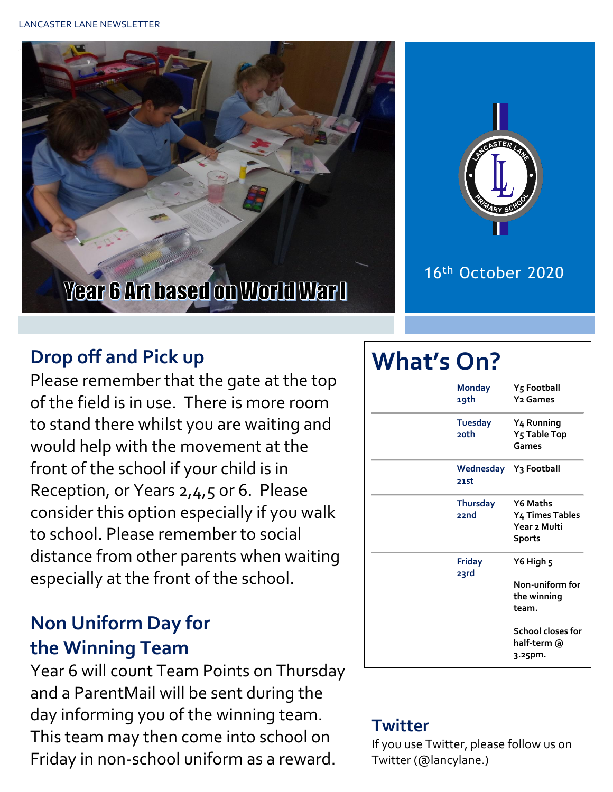



### 16th October 2020

## **Drop off and Pick up**

Please remember that the gate at the top of the field is in use. There is more room to stand there whilst you are waiting and would help with the movement at the front of the school if your child is in Reception, or Years 2,4,5 or 6. Please consider this option especially if you walk to school. Please remember to social distance from other parents when waiting especially at the front of the school.

## **Non Uniform Day for the Winning Team**

Year 6 will count Team Points on Thursday and a ParentMail will be sent during the day informing you of the winning team. This team may then come into school on Friday in non-school uniform as a reward.

# **What's On?**

| 19th | <b>Monday</b>   | Y5 Football<br><b>Y<sub>2</sub></b> Games                           |
|------|-----------------|---------------------------------------------------------------------|
| 20th | <b>Tuesday</b>  | Y <sub>4</sub> Running<br>Y <sub>5</sub> Table Top<br>Games         |
| 21st |                 | Wednesday Y3 Football                                               |
| 22nd | <b>Thursday</b> | <b>Y6 Maths</b><br>Y4 Times Tables<br>Year 2 Multi<br><b>Sports</b> |
| 23rd | <b>Friday</b>   | Y6 High 5<br>Non-uniform for<br>the winning<br>team.                |
|      |                 | School closes for<br>half-term @<br>3.25pm.                         |

#### **Twitter**

If you use Twitter, please follow us on Twitter (@lancylane.)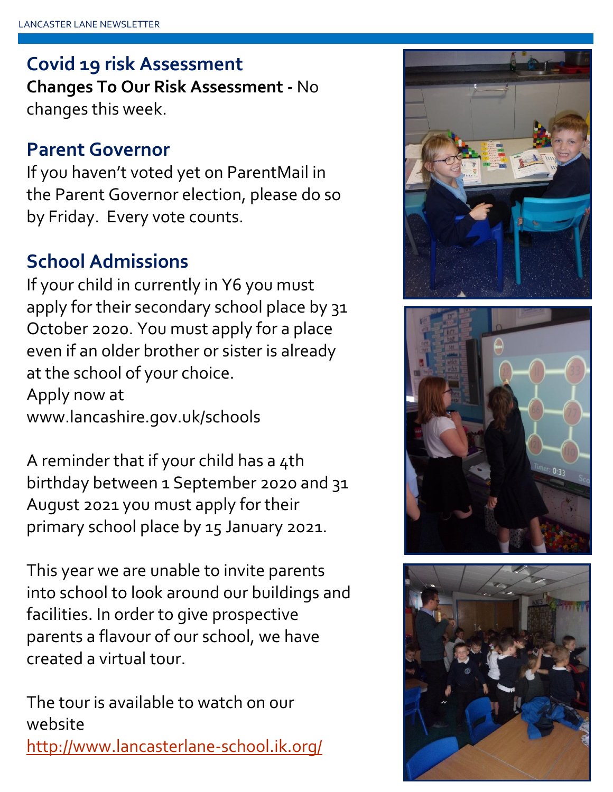## **Covid 19 risk Assessment**

**Changes To Our Risk Assessment -** No changes this week.

## **Parent Governor**

If you haven't voted yet on ParentMail in the Parent Governor election, please do so by Friday. Every vote counts.

## **School Admissions**

If your child in currently in Y6 you must apply for their secondary school place by 31 October 2020. You must apply for a place even if an older brother or sister is already at the school of your choice. Apply now at www.lancashire.gov.uk/schools

A reminder that if your child has a 4th birthday between 1 September 2020 and 31 August 2021 you must apply for their primary school place by 15 January 2021.

This year we are unable to invite parents into school to look around our buildings and facilities. In order to give prospective parents a flavour of our school, we have created a virtual tour.

The tour is available to watch on our website <http://www.lancasterlane-school.ik.org/>